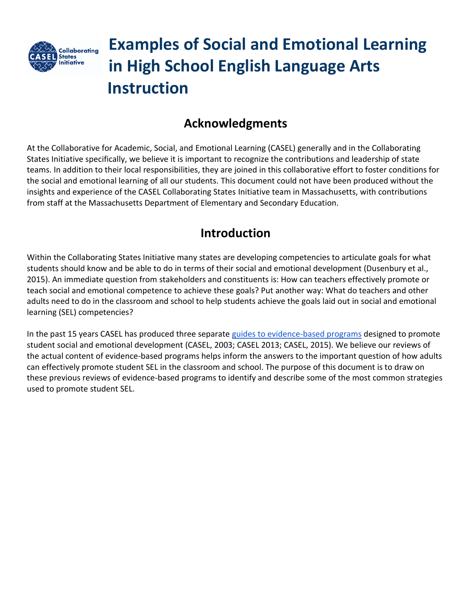

# **Examples of Social and Emotional Learning in High School English Language Arts Instruction**

## **Acknowledgments**

At the Collaborative for Academic, Social, and Emotional Learning (CASEL) generally and in the Collaborating States Initiative specifically, we believe it is important to recognize the contributions and leadership of state teams. In addition to their local responsibilities, they are joined in this collaborative effort to foster conditions for the social and emotional learning of all our students. This document could not have been produced without the insights and experience of the CASEL Collaborating States Initiative team in Massachusetts, with contributions from staff at the Massachusetts Department of Elementary and Secondary Education.

### **Introduction**

Within the Collaborating States Initiative many states are developing competencies to articulate goals for what students should know and be able to do in terms of their social and emotional development (Dusenbury et al., 2015). An immediate question from stakeholders and constituents is: How can teachers effectively promote or teach social and emotional competence to achieve these goals? Put another way: What do teachers and other adults need to do in the classroom and school to help students achieve the goals laid out in social and emotional learning (SEL) competencies?

In the past 15 years CASEL has produced three separate [guides to evidence-based programs](http://www.casel.org/guide/) designed to promote student social and emotional development (CASEL, 2003; CASEL 2013; CASEL, 2015). We believe our reviews of the actual content of evidence-based programs helps inform the answers to the important question of how adults can effectively promote student SEL in the classroom and school. The purpose of this document is to draw on these previous reviews of evidence-based programs to identify and describe some of the most common strategies used to promote student SEL.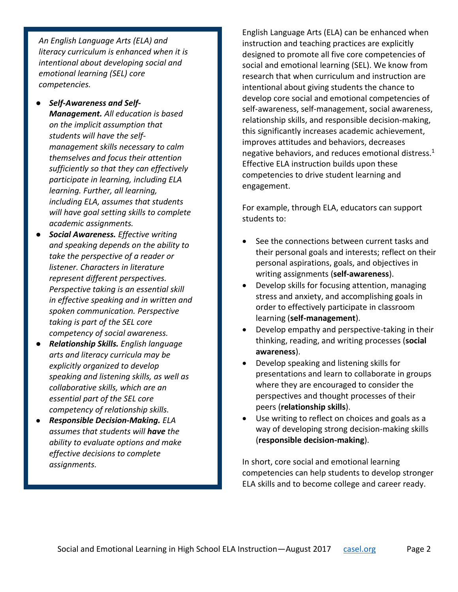*An English Language Arts (ELA) and literacy curriculum is enhanced when it is intentional about developing social and emotional learning (SEL) core competencies.* 

- *Self-Awareness and Self-Management. All education is based on the implicit assumption that students will have the selfmanagement skills necessary to calm themselves and focus their attention sufficiently so that they can effectively participate in learning, including ELA learning. Further, all learning, including ELA, assumes that students will have goal setting skills to complete academic assignments.*
- *Social Awareness. Effective writing and speaking depends on the ability to take the perspective of a reader or listener. Characters in literature represent different perspectives. Perspective taking is an essential skill in effective speaking and in written and spoken communication. Perspective taking is part of the SEL core competency of social awareness.*
- *Relationship Skills. English language arts and literacy curricula may be explicitly organized to develop speaking and listening skills, as well as collaborative skills, which are an essential part of the SEL core competency of relationship skills.*
- *Responsible Decision-Making. ELA assumes that students will have the ability to evaluate options and make effective decisions to complete assignments.*

English Language Arts (ELA) can be enhanced when instruction and teaching practices are explicitly designed to promote all five core competencies of social and emotional learning (SEL). We know from research that when curriculum and instruction are intentional about giving students the chance to develop core social and emotional competencies of self-awareness, self-management, social awareness, relationship skills, and responsible decision-making, this significantly increases academic achievement, improves attitudes and behaviors, decreases negative behaviors, and reduces emotional distress. 1 Effective ELA instruction builds upon these competencies to drive student learning and engagement.

For example, through ELA, educators can support students to:

- See the connections between current tasks and their personal goals and interests; reflect on their personal aspirations, goals, and objectives in writing assignments (**self-awareness**).
- Develop skills for focusing attention, managing stress and anxiety, and accomplishing goals in order to effectively participate in classroom learning (**self-management**).
- Develop empathy and perspective-taking in their thinking, reading, and writing processes (**social awareness**).
- Develop speaking and listening skills for presentations and learn to collaborate in groups where they are encouraged to consider the perspectives and thought processes of their peers (**relationship skills**).
- Use writing to reflect on choices and goals as a way of developing strong decision-making skills (**responsible decision-making**).

In short, core social and emotional learning competencies can help students to develop stronger ELA skills and to become college and career ready.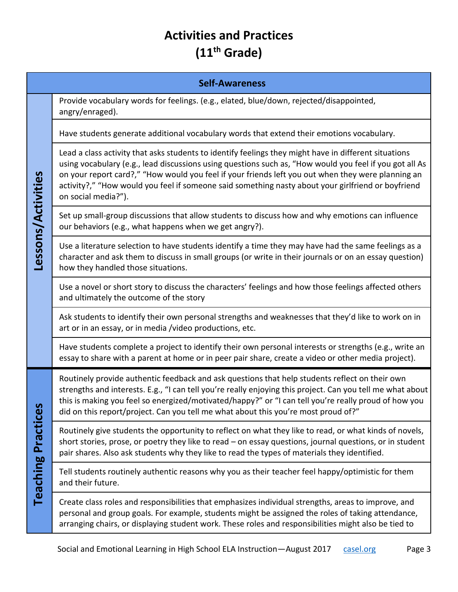# **Activities and Practices (11th Grade)**

|                           | <b>Self-Awareness</b>                                                                                                                                                                                                                                                                                                                                                                                                                               |
|---------------------------|-----------------------------------------------------------------------------------------------------------------------------------------------------------------------------------------------------------------------------------------------------------------------------------------------------------------------------------------------------------------------------------------------------------------------------------------------------|
| Lessons/Activities        | Provide vocabulary words for feelings. (e.g., elated, blue/down, rejected/disappointed,<br>angry/enraged).                                                                                                                                                                                                                                                                                                                                          |
|                           | Have students generate additional vocabulary words that extend their emotions vocabulary.                                                                                                                                                                                                                                                                                                                                                           |
|                           | Lead a class activity that asks students to identify feelings they might have in different situations<br>using vocabulary (e.g., lead discussions using questions such as, "How would you feel if you got all As<br>on your report card?," "How would you feel if your friends left you out when they were planning an<br>activity?," "How would you feel if someone said something nasty about your girlfriend or boyfriend<br>on social media?"). |
|                           | Set up small-group discussions that allow students to discuss how and why emotions can influence<br>our behaviors (e.g., what happens when we get angry?).                                                                                                                                                                                                                                                                                          |
|                           | Use a literature selection to have students identify a time they may have had the same feelings as a<br>character and ask them to discuss in small groups (or write in their journals or on an essay question)<br>how they handled those situations.                                                                                                                                                                                                |
|                           | Use a novel or short story to discuss the characters' feelings and how those feelings affected others<br>and ultimately the outcome of the story                                                                                                                                                                                                                                                                                                    |
|                           | Ask students to identify their own personal strengths and weaknesses that they'd like to work on in<br>art or in an essay, or in media /video productions, etc.                                                                                                                                                                                                                                                                                     |
|                           | Have students complete a project to identify their own personal interests or strengths (e.g., write an<br>essay to share with a parent at home or in peer pair share, create a video or other media project).                                                                                                                                                                                                                                       |
| <b>Teaching Practices</b> | Routinely provide authentic feedback and ask questions that help students reflect on their own<br>strengths and interests. E.g., "I can tell you're really enjoying this project. Can you tell me what about<br>this is making you feel so energized/motivated/happy?" or "I can tell you're really proud of how you<br>did on this report/project. Can you tell me what about this you're most proud of?"                                          |
|                           | Routinely give students the opportunity to reflect on what they like to read, or what kinds of novels,<br>short stories, prose, or poetry they like to read - on essay questions, journal questions, or in student<br>pair shares. Also ask students why they like to read the types of materials they identified.                                                                                                                                  |
|                           | Tell students routinely authentic reasons why you as their teacher feel happy/optimistic for them<br>and their future.                                                                                                                                                                                                                                                                                                                              |
|                           | Create class roles and responsibilities that emphasizes individual strengths, areas to improve, and<br>personal and group goals. For example, students might be assigned the roles of taking attendance,<br>arranging chairs, or displaying student work. These roles and responsibilities might also be tied to                                                                                                                                    |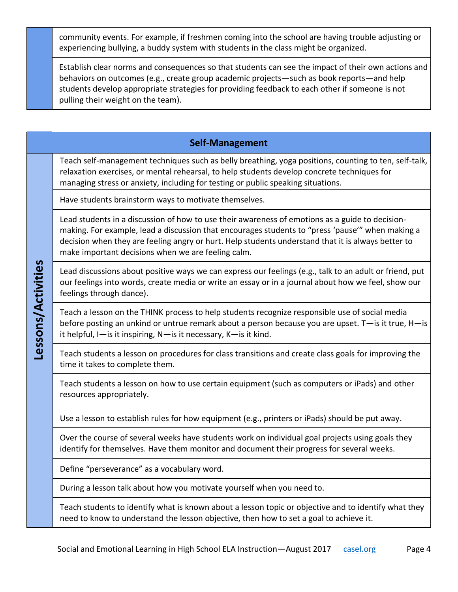community events. For example, if freshmen coming into the school are having trouble adjusting or experiencing bullying, a buddy system with students in the class might be organized.

Establish clear norms and consequences so that students can see the impact of their own actions and behaviors on outcomes (e.g., create group academic projects—such as book reports—and help students develop appropriate strategies for providing feedback to each other if someone is not pulling their weight on the team).

### **Self-Management**

Teach self-management techniques such as belly breathing, yoga positions, counting to ten, self-talk, relaxation exercises, or mental rehearsal, to help students develop concrete techniques for managing stress or anxiety, including for testing or public speaking situations.

Have students brainstorm ways to motivate themselves.

Lead students in a discussion of how to use their awareness of emotions as a guide to decisionmaking. For example, lead a discussion that encourages students to "press 'pause'" when making a decision when they are feeling angry or hurt. Help students understand that it is always better to make important decisions when we are feeling calm.

Lead discussions about positive ways we can express our feelings (e.g., talk to an adult or friend, put our feelings into words, create media or write an essay or in a journal about how we feel, show our feelings through dance).

Teach a lesson on the THINK process to help students recognize responsible use of social media before posting an unkind or untrue remark about a person because you are upset. T—is it true, H—is it helpful, I—is it inspiring, N—is it necessary, K—is it kind.

Teach students a lesson on procedures for class transitions and create class goals for improving the time it takes to complete them.

Teach students a lesson on how to use certain equipment (such as computers or iPads) and other resources appropriately.

Use a lesson to establish rules for how equipment (e.g., printers or iPads) should be put away.

Over the course of several weeks have students work on individual goal projects using goals they identify for themselves. Have them monitor and document their progress for several weeks.

Define "perseverance" as a vocabulary word.

Lessons/Activities **Lessons/Activities**

During a lesson talk about how you motivate yourself when you need to.

Teach students to identify what is known about a lesson topic or objective and to identify what they need to know to understand the lesson objective, then how to set a goal to achieve it.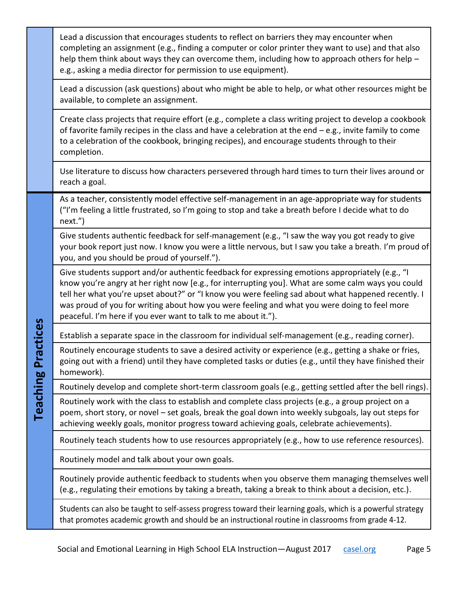|                                   | Lead a discussion that encourages students to reflect on barriers they may encounter when<br>completing an assignment (e.g., finding a computer or color printer they want to use) and that also<br>help them think about ways they can overcome them, including how to approach others for help -<br>e.g., asking a media director for permission to use equipment).                                                                                                         |
|-----------------------------------|-------------------------------------------------------------------------------------------------------------------------------------------------------------------------------------------------------------------------------------------------------------------------------------------------------------------------------------------------------------------------------------------------------------------------------------------------------------------------------|
|                                   | Lead a discussion (ask questions) about who might be able to help, or what other resources might be<br>available, to complete an assignment.                                                                                                                                                                                                                                                                                                                                  |
|                                   | Create class projects that require effort (e.g., complete a class writing project to develop a cookbook<br>of favorite family recipes in the class and have a celebration at the end $-e.g.,$ invite family to come<br>to a celebration of the cookbook, bringing recipes), and encourage students through to their<br>completion.                                                                                                                                            |
|                                   | Use literature to discuss how characters persevered through hard times to turn their lives around or<br>reach a goal.                                                                                                                                                                                                                                                                                                                                                         |
| ractices<br>p.<br><b>Teaching</b> | As a teacher, consistently model effective self-management in an age-appropriate way for students<br>("I'm feeling a little frustrated, so I'm going to stop and take a breath before I decide what to do<br>next.")                                                                                                                                                                                                                                                          |
|                                   | Give students authentic feedback for self-management (e.g., "I saw the way you got ready to give<br>your book report just now. I know you were a little nervous, but I saw you take a breath. I'm proud of<br>you, and you should be proud of yourself.").                                                                                                                                                                                                                    |
|                                   | Give students support and/or authentic feedback for expressing emotions appropriately (e.g., "I<br>know you're angry at her right now [e.g., for interrupting you]. What are some calm ways you could<br>tell her what you're upset about?" or "I know you were feeling sad about what happened recently. I<br>was proud of you for writing about how you were feeling and what you were doing to feel more<br>peaceful. I'm here if you ever want to talk to me about it."). |
|                                   | Establish a separate space in the classroom for individual self-management (e.g., reading corner).                                                                                                                                                                                                                                                                                                                                                                            |
|                                   | Routinely encourage students to save a desired activity or experience (e.g., getting a shake or fries,<br>going out with a friend) until they have completed tasks or duties (e.g., until they have finished their<br>homework).                                                                                                                                                                                                                                              |
|                                   | Routinely develop and complete short-term classroom goals (e.g., getting settled after the bell rings).                                                                                                                                                                                                                                                                                                                                                                       |
|                                   | Routinely work with the class to establish and complete class projects (e.g., a group project on a<br>poem, short story, or novel - set goals, break the goal down into weekly subgoals, lay out steps for<br>achieving weekly goals, monitor progress toward achieving goals, celebrate achievements).                                                                                                                                                                       |
|                                   | Routinely teach students how to use resources appropriately (e.g., how to use reference resources).                                                                                                                                                                                                                                                                                                                                                                           |
|                                   | Routinely model and talk about your own goals.                                                                                                                                                                                                                                                                                                                                                                                                                                |
|                                   | Routinely provide authentic feedback to students when you observe them managing themselves well<br>(e.g., regulating their emotions by taking a breath, taking a break to think about a decision, etc.).                                                                                                                                                                                                                                                                      |
|                                   | Students can also be taught to self-assess progress toward their learning goals, which is a powerful strategy<br>that promotes academic growth and should be an instructional routine in classrooms from grade 4-12.                                                                                                                                                                                                                                                          |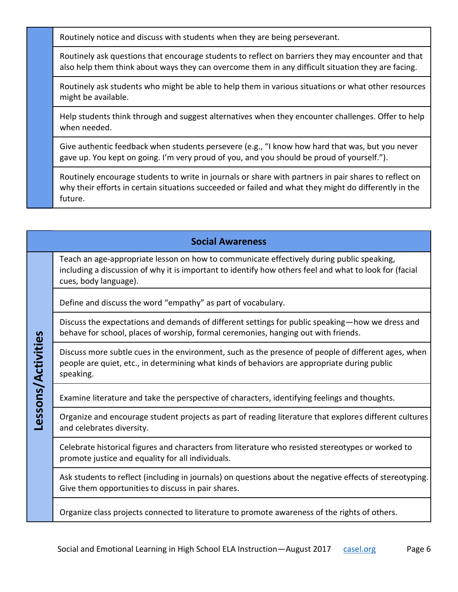Routinely notice and discuss with students when they are being perseverant.

Routinely ask questions that encourage students to reflect on barriers they may encounter and that also help them think about ways they can overcome them in any difficult situation they are facing.

Routinely ask students who might be able to help them in various situations or what other resources might be available.

Help students think through and suggest alternatives when they encounter challenges. Offer to help when needed.

Give authentic feedback when students persevere (e.g., "I know how hard that was, but you never gave up. You kept on going. I'm very proud of you, and you should be proud of yourself.").

Routinely encourage students to write in journals or share with partners in pair shares to reflect on why their efforts in certain situations succeeded or failed and what they might do differently in the future.

#### **Social Awareness**

Teach an age-appropriate lesson on how to communicate effectively during public speaking, including a discussion of why it is important to identify how others feel and what to look for (facial cues, body language).

Define and discuss the word "empathy" as part of vocabulary.

Lessons/Activities **Lessons/Activities**

Discuss the expectations and demands of different settings for public speaking—how we dress and behave for school, places of worship, formal ceremonies, hanging out with friends.

Discuss more subtle cues in the environment, such as the presence of people of different ages, when people are quiet, etc., in determining what kinds of behaviors are appropriate during public speaking.

Examine literature and take the perspective of characters, identifying feelings and thoughts.

Organize and encourage student projects as part of reading literature that explores different cultures and celebrates diversity.

Celebrate historical figures and characters from literature who resisted stereotypes or worked to promote justice and equality for all individuals.

Ask students to reflect (including in journals) on questions about the negative effects of stereotyping. Give them opportunities to discuss in pair shares.

Organize class projects connected to literature to promote awareness of the rights of others.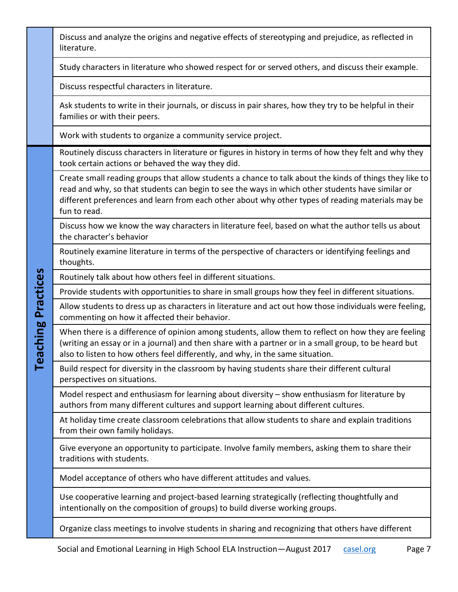|                           | Discuss and analyze the origins and negative effects of stereotyping and prejudice, as reflected in<br>literature.                                                                                                                                                                                                               |
|---------------------------|----------------------------------------------------------------------------------------------------------------------------------------------------------------------------------------------------------------------------------------------------------------------------------------------------------------------------------|
|                           | Study characters in literature who showed respect for or served others, and discuss their example.                                                                                                                                                                                                                               |
|                           | Discuss respectful characters in literature.                                                                                                                                                                                                                                                                                     |
|                           | Ask students to write in their journals, or discuss in pair shares, how they try to be helpful in their<br>families or with their peers.                                                                                                                                                                                         |
|                           | Work with students to organize a community service project.                                                                                                                                                                                                                                                                      |
| <b>Teaching Practices</b> | Routinely discuss characters in literature or figures in history in terms of how they felt and why they<br>took certain actions or behaved the way they did.                                                                                                                                                                     |
|                           | Create small reading groups that allow students a chance to talk about the kinds of things they like to<br>read and why, so that students can begin to see the ways in which other students have similar or<br>different preferences and learn from each other about why other types of reading materials may be<br>fun to read. |
|                           | Discuss how we know the way characters in literature feel, based on what the author tells us about<br>the character's behavior                                                                                                                                                                                                   |
|                           | Routinely examine literature in terms of the perspective of characters or identifying feelings and<br>thoughts.                                                                                                                                                                                                                  |
|                           | Routinely talk about how others feel in different situations.                                                                                                                                                                                                                                                                    |
|                           | Provide students with opportunities to share in small groups how they feel in different situations.                                                                                                                                                                                                                              |
|                           | Allow students to dress up as characters in literature and act out how those individuals were feeling,<br>commenting on how it affected their behavior.                                                                                                                                                                          |
|                           | When there is a difference of opinion among students, allow them to reflect on how they are feeling<br>(writing an essay or in a journal) and then share with a partner or in a small group, to be heard but<br>also to listen to how others feel differently, and why, in the same situation.                                   |
|                           | Build respect for diversity in the classroom by having students share their different cultural<br>perspectives on situations.                                                                                                                                                                                                    |
|                           | Model respect and enthusiasm for learning about diversity - show enthusiasm for literature by<br>authors from many different cultures and support learning about different cultures.                                                                                                                                             |
|                           | At holiday time create classroom celebrations that allow students to share and explain traditions<br>from their own family holidays.                                                                                                                                                                                             |
|                           | Give everyone an opportunity to participate. Involve family members, asking them to share their<br>traditions with students.                                                                                                                                                                                                     |
|                           | Model acceptance of others who have different attitudes and values.                                                                                                                                                                                                                                                              |
|                           | Use cooperative learning and project-based learning strategically (reflecting thoughtfully and<br>intentionally on the composition of groups) to build diverse working groups.                                                                                                                                                   |
|                           | Organize class meetings to involve students in sharing and recognizing that others have different                                                                                                                                                                                                                                |

H

٦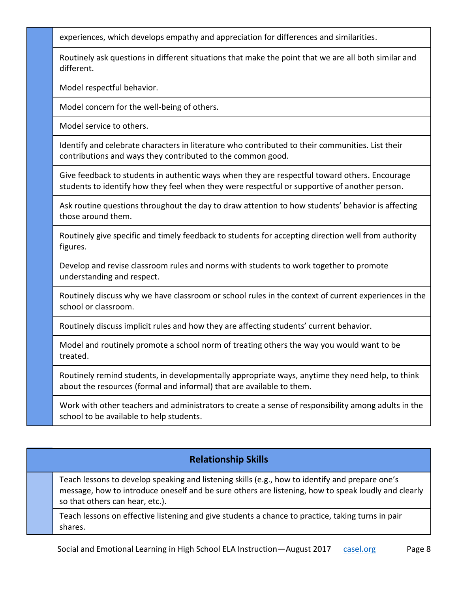experiences, which develops empathy and appreciation for differences and similarities.

Routinely ask questions in different situations that make the point that we are all both similar and different.

Model respectful behavior.

Model concern for the well-being of others.

Model service to others.

Identify and celebrate characters in literature who contributed to their communities. List their contributions and ways they contributed to the common good.

Give feedback to students in authentic ways when they are respectful toward others. Encourage students to identify how they feel when they were respectful or supportive of another person.

Ask routine questions throughout the day to draw attention to how students' behavior is affecting those around them.

Routinely give specific and timely feedback to students for accepting direction well from authority figures.

Develop and revise classroom rules and norms with students to work together to promote understanding and respect.

Routinely discuss why we have classroom or school rules in the context of current experiences in the school or classroom.

Routinely discuss implicit rules and how they are affecting students' current behavior.

Model and routinely promote a school norm of treating others the way you would want to be treated.

Routinely remind students, in developmentally appropriate ways, anytime they need help, to think about the resources (formal and informal) that are available to them.

Work with other teachers and administrators to create a sense of responsibility among adults in the school to be available to help students.

### **Relationship Skills**

Teach lessons to develop speaking and listening skills (e.g., how to identify and prepare one's message, how to introduce oneself and be sure others are listening, how to speak loudly and clearly so that others can hear, etc.).

Teach lessons on effective listening and give students a chance to practice, taking turns in pair shares.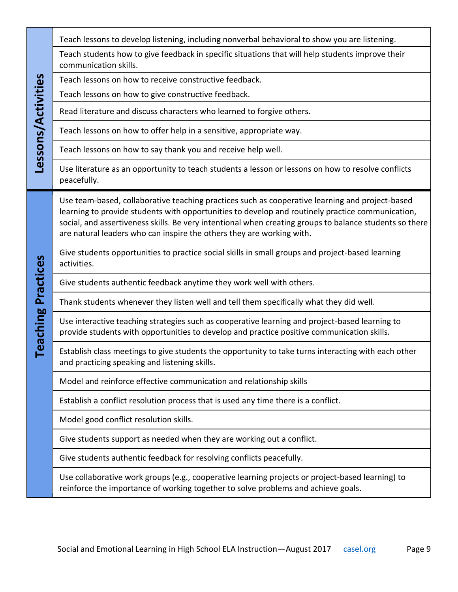| Lessons/Activities           | Teach lessons to develop listening, including nonverbal behavioral to show you are listening.                                                                                                                                                                                                                                                                                           |
|------------------------------|-----------------------------------------------------------------------------------------------------------------------------------------------------------------------------------------------------------------------------------------------------------------------------------------------------------------------------------------------------------------------------------------|
|                              | Teach students how to give feedback in specific situations that will help students improve their<br>communication skills.                                                                                                                                                                                                                                                               |
|                              | Teach lessons on how to receive constructive feedback.                                                                                                                                                                                                                                                                                                                                  |
|                              | Teach lessons on how to give constructive feedback.                                                                                                                                                                                                                                                                                                                                     |
|                              | Read literature and discuss characters who learned to forgive others.                                                                                                                                                                                                                                                                                                                   |
|                              | Teach lessons on how to offer help in a sensitive, appropriate way.                                                                                                                                                                                                                                                                                                                     |
|                              | Teach lessons on how to say thank you and receive help well.                                                                                                                                                                                                                                                                                                                            |
|                              | Use literature as an opportunity to teach students a lesson or lessons on how to resolve conflicts<br>peacefully.                                                                                                                                                                                                                                                                       |
| Practices<br><b>Teaching</b> | Use team-based, collaborative teaching practices such as cooperative learning and project-based<br>learning to provide students with opportunities to develop and routinely practice communication,<br>social, and assertiveness skills. Be very intentional when creating groups to balance students so there<br>are natural leaders who can inspire the others they are working with. |
|                              | Give students opportunities to practice social skills in small groups and project-based learning<br>activities.                                                                                                                                                                                                                                                                         |
|                              | Give students authentic feedback anytime they work well with others.                                                                                                                                                                                                                                                                                                                    |
|                              | Thank students whenever they listen well and tell them specifically what they did well.                                                                                                                                                                                                                                                                                                 |
|                              | Use interactive teaching strategies such as cooperative learning and project-based learning to<br>provide students with opportunities to develop and practice positive communication skills.                                                                                                                                                                                            |
|                              | Establish class meetings to give students the opportunity to take turns interacting with each other<br>and practicing speaking and listening skills.                                                                                                                                                                                                                                    |
|                              | Model and reinforce effective communication and relationship skills                                                                                                                                                                                                                                                                                                                     |
|                              | Establish a conflict resolution process that is used any time there is a conflict.                                                                                                                                                                                                                                                                                                      |
|                              | Model good conflict resolution skills.                                                                                                                                                                                                                                                                                                                                                  |
|                              | Give students support as needed when they are working out a conflict.                                                                                                                                                                                                                                                                                                                   |
|                              | Give students authentic feedback for resolving conflicts peacefully.                                                                                                                                                                                                                                                                                                                    |
|                              | Use collaborative work groups (e.g., cooperative learning projects or project-based learning) to<br>reinforce the importance of working together to solve problems and achieve goals.                                                                                                                                                                                                   |